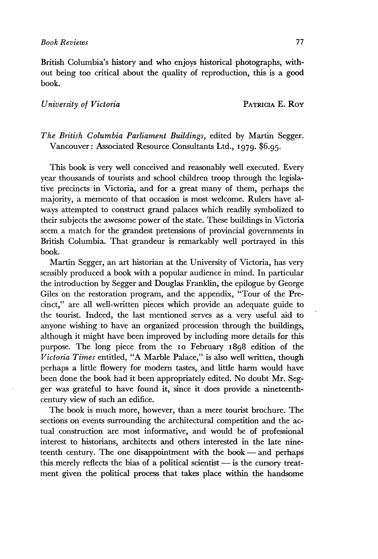British Columbia's history and who enjoys historical photographs, without being too critical about the quality of reproduction, this is a good book.

## *University of Victoria* PATRICIA E. ROY

## *The British Columbia Parliament Buildings,* edited by Martin Segger. Vancouver: Associated Resource Consultants Ltd., 1979. \$6.95.

This book is very well conceived and reasonably well executed. Every year thousands of tourists and school children troop through the legislative precincts in Victoria, and for a great many of them, perhaps the majority, a memento of that occasion is most welcome. Rulers have always attempted to construct grand palaces which readily symbolized to their subjects the awesome power of the state. These buildings in Victoria seem a match for the grandest pretensions of provincial governments in British Columbia. That grandeur is remarkably well portrayed in this book.

Martin Segger, an art historian at the University of Victoria, has very sensibly produced a book with a popular audience in mind. In particular the introduction by Segger and Douglas Franklin, the epilogue by George Giles on the restoration program, and the appendix, "Tour of the Precinct," are all well-written pieces which provide an adequate guide to the tourist. Indeed, the last mentioned serves as a very useful aid to anyone wishing to have an organized procession through the buildings, although it might have been improved by including more details for this purpose. The long piece from the 10 February 1898 edition of the *Victoria Times* entitled, "A Marble Palace," is also well written, though perhaps a little flowery for modern tastes, and little harm would have been done the book had it been appropriately edited. No doubt Mr. Segger was grateful to have found it, since it does provide a nineteenthcentury view of such an edifice.

The book is much more, however, than a mere tourist brochure. The sections on events surrounding the architectural competition and the actual construction are most informative, and would be of professional interest to historians, architects and others interested in the late nineteenth century. The one disappointment with the book — and perhaps this merely reflects the bias of a political scientist — is the cursory treatment given the political process that takes place within the handsome